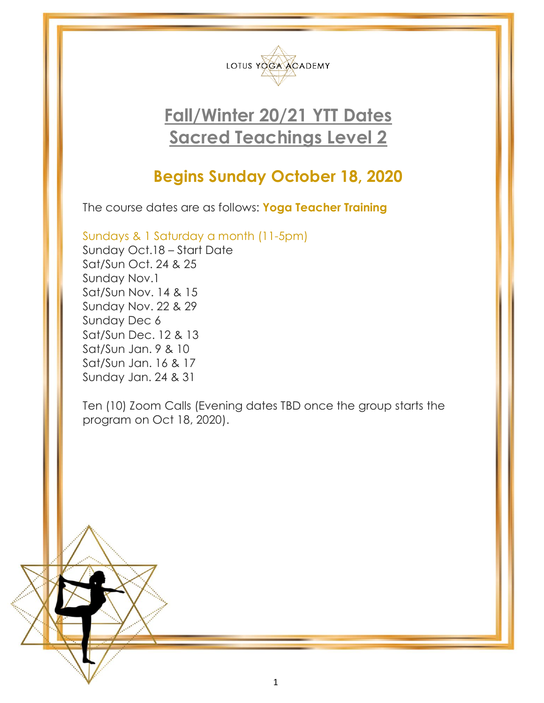

# **Fall/Winter 20/21 YTT Dates Sacred Teachings Level 2**

## **Begins Sunday October 18, 2020**

The course dates are as follows: **Yoga Teacher Training**

Sundays & 1 Saturday a month (11-5pm)

Sunday Oct.18 – Start Date Sat/Sun Oct. 24 & 25 Sunday Nov.1 Sat/Sun Nov. 14 & 15 Sunday Nov. 22 & 29 Sunday Dec 6 Sat/Sun Dec. 12 & 13 Sat/Sun Jan. 9 & 10 Sat/Sun Jan. 16 & 17 Sunday Jan. 24 & 31

Ten (10) Zoom Calls (Evening dates TBD once the group starts the program on Oct 18, 2020).